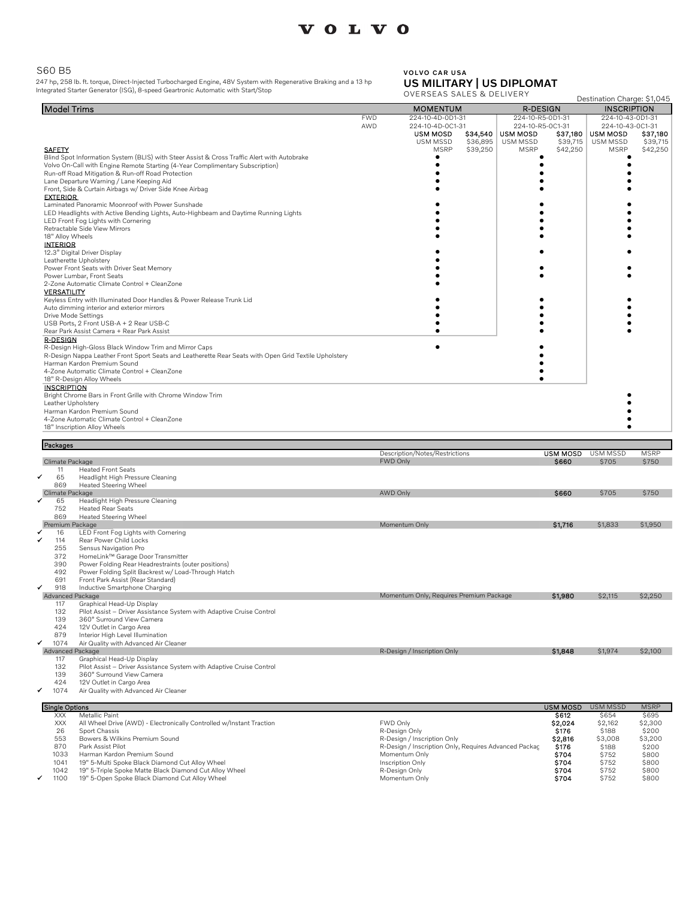# VOLVO

### S60 B5

247 hp, 258 lb. ft. torque, Direct-Injected Turbocharged Engine, 48V System with Regenerative Braking and a 13 hp Integrated Starter Generator (ISG), 8-speed Geartronic Automatic with Start/Stop

#### VOLVO CAR USA US MILITARY | US DIPLOMAT

OVERSEAS SALES & DELIVERY

|                                                                                                                                         | ERSEAS SALES & DELIVERT                                                    |                      | Destination Charge: \$1,045 |                      |
|-----------------------------------------------------------------------------------------------------------------------------------------|----------------------------------------------------------------------------|----------------------|-----------------------------|----------------------|
| <b>Model Trims</b>                                                                                                                      | <b>MOMENTUM</b>                                                            | <b>R-DESIGN</b>      | <b>INSCRIPTION</b>          |                      |
|                                                                                                                                         | 224-10-4D-0D1-31<br><b>FWD</b>                                             | 224-10-R5-0D1-31     | 224-10-43-0D1-31            |                      |
|                                                                                                                                         | AWD<br>224-10-4D-0C1-31                                                    | 224-10-R5-0C1-31     | 224-10-43-0C1-31            |                      |
|                                                                                                                                         | <b>USM MOSD</b><br>\$34,540<br><b>USM MOSD</b>                             | \$37,180             | <b>USM MOSD</b>             | \$37,180             |
| <b>SAFETY</b>                                                                                                                           | USM MSSD<br>\$36,895<br>USM MSSD<br><b>MSRP</b><br>\$39,250<br><b>MSRP</b> | \$39,715<br>\$42,250 | USM MSSD<br><b>MSRP</b>     | \$39,715<br>\$42,250 |
| Blind Spot Information System (BLIS) with Steer Assist & Cross Traffic Alert with Autobrake                                             |                                                                            |                      |                             |                      |
| Volvo On-Call with Engine Remote Starting (4-Year Complimentary Subscription)                                                           |                                                                            |                      | ٠                           |                      |
| Run-off Road Mitigation & Run-off Road Protection                                                                                       |                                                                            |                      |                             |                      |
| Lane Departure Warning / Lane Keeping Aid                                                                                               |                                                                            |                      |                             |                      |
| Front, Side & Curtain Airbags w/ Driver Side Knee Airbag                                                                                |                                                                            |                      |                             |                      |
| <b>EXTERIOR</b>                                                                                                                         |                                                                            |                      |                             |                      |
| Laminated Panoramic Moonroof with Power Sunshade<br>LED Headlights with Active Bending Lights, Auto-Highbeam and Daytime Running Lights |                                                                            |                      |                             |                      |
| LED Front Fog Lights with Cornering                                                                                                     |                                                                            |                      |                             |                      |
| Retractable Side View Mirrors                                                                                                           |                                                                            |                      |                             |                      |
| 18" Alloy Wheels                                                                                                                        |                                                                            |                      |                             |                      |
| <b>INTERIOR</b>                                                                                                                         |                                                                            |                      |                             |                      |
| 12.3" Digital Driver Display                                                                                                            |                                                                            |                      |                             |                      |
| Leatherette Upholstery                                                                                                                  |                                                                            |                      |                             |                      |
| Power Front Seats with Driver Seat Memory<br>Power Lumbar, Front Seats                                                                  |                                                                            |                      |                             |                      |
| 2-Zone Automatic Climate Control + CleanZone                                                                                            |                                                                            |                      |                             |                      |
| <b>VERSATILITY</b>                                                                                                                      |                                                                            |                      |                             |                      |
| Keyless Entry with Illuminated Door Handles & Power Release Trunk Lid                                                                   |                                                                            |                      |                             |                      |
| Auto dimming interior and exterior mirrors                                                                                              |                                                                            |                      |                             |                      |
| Drive Mode Settings                                                                                                                     |                                                                            |                      |                             |                      |
| USB Ports, 2 Front USB-A + 2 Rear USB-C                                                                                                 |                                                                            |                      |                             |                      |
| Rear Park Assist Camera + Rear Park Assist<br><b>R-DESIGN</b>                                                                           |                                                                            |                      |                             |                      |
| R-Design High-Gloss Black Window Trim and Mirror Caps                                                                                   |                                                                            |                      |                             |                      |
| R-Design Nappa Leather Front Sport Seats and Leatherette Rear Seats with Open Grid Textile Upholstery                                   |                                                                            |                      |                             |                      |
| Harman Kardon Premium Sound                                                                                                             |                                                                            |                      |                             |                      |
| 4-Zone Automatic Climate Control + CleanZone                                                                                            |                                                                            |                      |                             |                      |
| 18" R-Design Alloy Wheels                                                                                                               |                                                                            |                      |                             |                      |
| <b>INSCRIPTION</b>                                                                                                                      |                                                                            |                      |                             |                      |
| Bright Chrome Bars in Front Grille with Chrome Window Trim                                                                              |                                                                            |                      |                             |                      |
| Leather Upholstery<br>Harman Kardon Premium Sound                                                                                       |                                                                            |                      |                             |                      |
| 4-Zone Automatic Climate Control + CleanZone                                                                                            |                                                                            |                      |                             |                      |
| 18" Inscription Alloy Wheels                                                                                                            |                                                                            |                      |                             |                      |
|                                                                                                                                         |                                                                            |                      |                             |                      |
|                                                                                                                                         |                                                                            |                      |                             |                      |
| Packages                                                                                                                                |                                                                            |                      |                             |                      |
|                                                                                                                                         | Description/Notes/Restrictions                                             | <b>USM MOSD</b>      | USM MSSD                    | <b>MSRP</b>          |
| Climate Package                                                                                                                         | FWD Only                                                                   | \$660                | \$705                       | \$750                |
| <b>Heated Front Seats</b><br>11                                                                                                         |                                                                            |                      |                             |                      |
| 65<br>Headlight High Pressure Cleaning                                                                                                  |                                                                            |                      |                             |                      |
| 869<br><b>Heated Steering Wheel</b><br>Climate Package                                                                                  | <b>AWD Only</b>                                                            | \$660                | \$705                       | \$750                |
| Headlight High Pressure Cleaning<br>65                                                                                                  |                                                                            |                      |                             |                      |
| <b>Heated Rear Seats</b><br>752                                                                                                         |                                                                            |                      |                             |                      |
| 869<br><b>Heated Steering Wheel</b>                                                                                                     |                                                                            |                      |                             |                      |
| Premium Package                                                                                                                         | Momentum Only                                                              | \$1,716              | \$1,833                     | \$1,950              |
| LED Front Fog Lights with Cornering<br>16                                                                                               |                                                                            |                      |                             |                      |
| 114<br>Rear Power Child Locks<br>255                                                                                                    |                                                                            |                      |                             |                      |
| Sensus Navigation Pro<br>372<br>HomeLink™ Garage Door Transmitter                                                                       |                                                                            |                      |                             |                      |
| 390<br>Power Folding Rear Headrestraints (outer positions)                                                                              |                                                                            |                      |                             |                      |
| 492<br>Power Folding Split Backrest w/ Load-Through Hatch                                                                               |                                                                            |                      |                             |                      |
| 691<br>Front Park Assist (Rear Standard)                                                                                                |                                                                            |                      |                             |                      |
| 918<br>Inductive Smartphone Charging                                                                                                    |                                                                            |                      |                             |                      |
| Advanced Package                                                                                                                        | Momentum Only, Requires Premium Package                                    | \$1,980              | \$2,115                     | \$2,250              |
| 117<br>Graphical Head-Up Display<br>132<br>Pilot Assist - Driver Assistance System with Adaptive Cruise Control                         |                                                                            |                      |                             |                      |
| 139<br>360° Surround View Camera                                                                                                        |                                                                            |                      |                             |                      |
| 424<br>12V Outlet in Cargo Area                                                                                                         |                                                                            |                      |                             |                      |
| 879<br>Interior High Level Illumination                                                                                                 |                                                                            |                      |                             |                      |
| ✓<br>1074<br>Air Quality with Advanced Air Cleaner                                                                                      |                                                                            |                      |                             |                      |
| Advanced Package                                                                                                                        | R-Design / Inscription Only                                                | \$1,848              | \$1,974                     | \$2,100              |
| 117<br>Graphical Head-Up Display<br>132<br>Pilot Assist - Driver Assistance System with Adaptive Cruise Control                         |                                                                            |                      |                             |                      |
| 139<br>360° Surround View Camera                                                                                                        |                                                                            |                      |                             |                      |
| 424<br>12V Outlet in Cargo Area                                                                                                         |                                                                            |                      |                             |                      |
| 1074<br>Air Quality with Advanced Air Cleaner                                                                                           |                                                                            |                      |                             |                      |
|                                                                                                                                         |                                                                            |                      |                             |                      |
| <b>Single Options</b>                                                                                                                   |                                                                            | USM MOSD             | <b>USM MSSD</b>             | <b>MSRP</b>          |
| Metallic Paint<br>XXX<br>XXX<br>All Wheel Drive (AWD) - Electronically Controlled w/Instant Traction                                    | FWD Only                                                                   | \$612<br>\$2,024     | \$654<br>\$2,162            | \$695<br>\$2,300     |
| 26<br>Sport Chassis                                                                                                                     | R-Design Only                                                              | \$176                | \$188                       | \$200                |
| 553<br>Bowers & Wilkins Premium Sound                                                                                                   | R-Design / Inscription Only                                                | \$2,816              | \$3,008                     | \$3,200              |
| 870<br>Park Assist Pilot                                                                                                                | R-Design / Inscription Only, Requires Advanced Packac                      | \$176                | \$188                       | \$200                |
| 1033<br>Harman Kardon Premium Sound                                                                                                     | Momentum Only                                                              | S704                 | \$752                       | \$800                |
| 1041<br>19" 5-Multi Spoke Black Diamond Cut Alloy Wheel                                                                                 | Inscription Only                                                           | \$704                | \$752                       | \$800                |
| 19" 5-Triple Spoke Matte Black Diamond Cut Alloy Wheel<br>1042<br>1100<br>19" 5-Open Spoke Black Diamond Cut Alloy Wheel                | R-Design Only<br>Momentum Only                                             | \$704<br>\$704       | \$752<br>\$752              | \$800<br>\$800       |